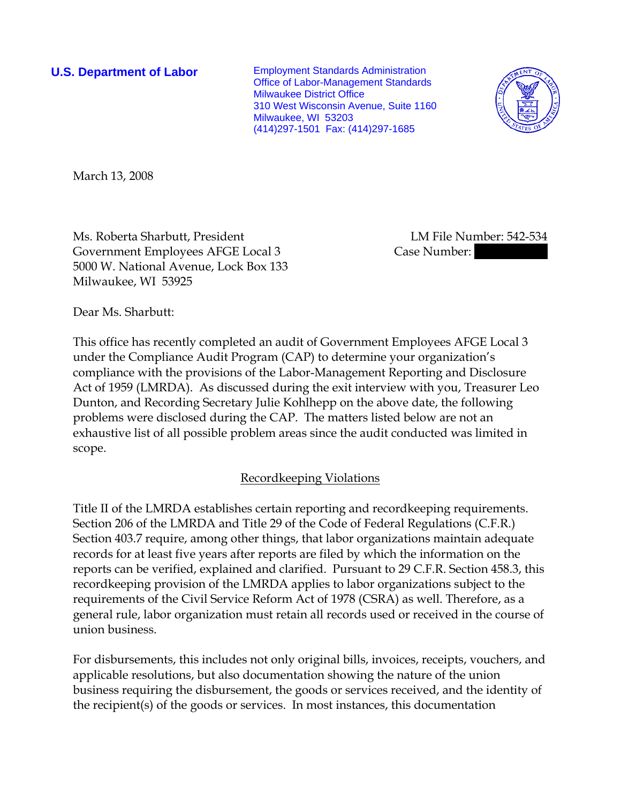**U.S. Department of Labor** Employment Standards Administration Office of Labor-Management Standards Milwaukee District Office 310 West Wisconsin Avenue, Suite 1160 Milwaukee, WI 53203 (414)297-1501 Fax: (414)297-1685



March 13, 2008

Ms. Roberta Sharbutt, President LM File Number: 542-534 Government Employees AFGE Local 3 Case Number: 5000 W. National Avenue, Lock Box 133 Milwaukee, WI 53925

Dear Ms. Sharbutt:

This office has recently completed an audit of Government Employees AFGE Local 3 under the Compliance Audit Program (CAP) to determine your organization's compliance with the provisions of the Labor-Management Reporting and Disclosure Act of 1959 (LMRDA). As discussed during the exit interview with you, Treasurer Leo Dunton, and Recording Secretary Julie Kohlhepp on the above date, the following problems were disclosed during the CAP. The matters listed below are not an exhaustive list of all possible problem areas since the audit conducted was limited in scope.

# Recordkeeping Violations

Title II of the LMRDA establishes certain reporting and recordkeeping requirements. Section 206 of the LMRDA and Title 29 of the Code of Federal Regulations (C.F.R.) Section 403.7 require, among other things, that labor organizations maintain adequate records for at least five years after reports are filed by which the information on the reports can be verified, explained and clarified. Pursuant to 29 C.F.R. Section 458.3, this recordkeeping provision of the LMRDA applies to labor organizations subject to the requirements of the Civil Service Reform Act of 1978 (CSRA) as well. Therefore, as a general rule, labor organization must retain all records used or received in the course of union business.

For disbursements, this includes not only original bills, invoices, receipts, vouchers, and applicable resolutions, but also documentation showing the nature of the union business requiring the disbursement, the goods or services received, and the identity of the recipient(s) of the goods or services. In most instances, this documentation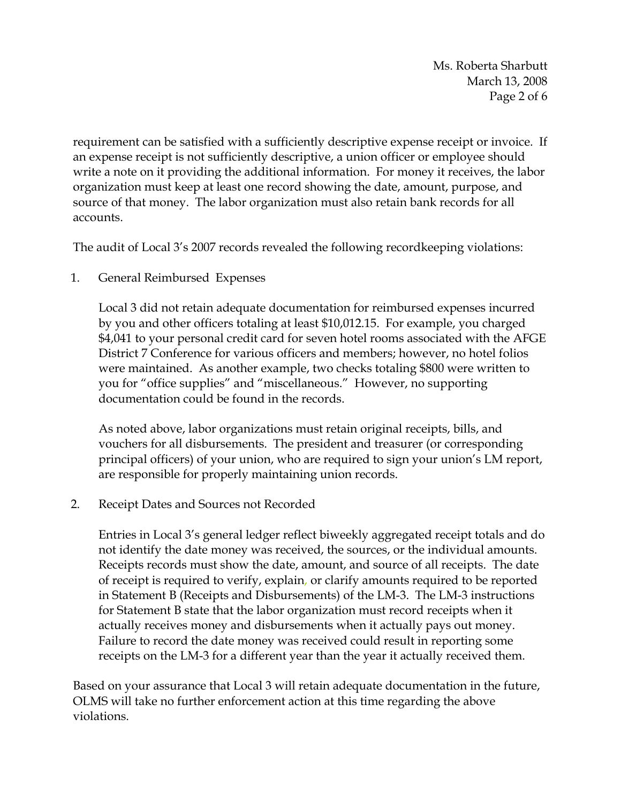Ms. Roberta Sharbutt March 13, 2008 Page 2 of 6

requirement can be satisfied with a sufficiently descriptive expense receipt or invoice. If an expense receipt is not sufficiently descriptive, a union officer or employee should write a note on it providing the additional information. For money it receives, the labor organization must keep at least one record showing the date, amount, purpose, and source of that money. The labor organization must also retain bank records for all accounts.

The audit of Local 3's 2007 records revealed the following recordkeeping violations:

1. General Reimbursed Expenses

Local 3 did not retain adequate documentation for reimbursed expenses incurred by you and other officers totaling at least \$10,012.15. For example, you charged \$4,041 to your personal credit card for seven hotel rooms associated with the AFGE District 7 Conference for various officers and members; however, no hotel folios were maintained. As another example, two checks totaling \$800 were written to you for "office supplies" and "miscellaneous." However, no supporting documentation could be found in the records.

As noted above, labor organizations must retain original receipts, bills, and vouchers for all disbursements. The president and treasurer (or corresponding principal officers) of your union, who are required to sign your union's LM report, are responsible for properly maintaining union records.

2. Receipt Dates and Sources not Recorded

Entries in Local 3's general ledger reflect biweekly aggregated receipt totals and do not identify the date money was received, the sources, or the individual amounts. Receipts records must show the date, amount, and source of all receipts. The date of receipt is required to verify, explain, or clarify amounts required to be reported in Statement B (Receipts and Disbursements) of the LM-3. The LM-3 instructions for Statement B state that the labor organization must record receipts when it actually receives money and disbursements when it actually pays out money. Failure to record the date money was received could result in reporting some receipts on the LM-3 for a different year than the year it actually received them.

Based on your assurance that Local 3 will retain adequate documentation in the future, OLMS will take no further enforcement action at this time regarding the above violations.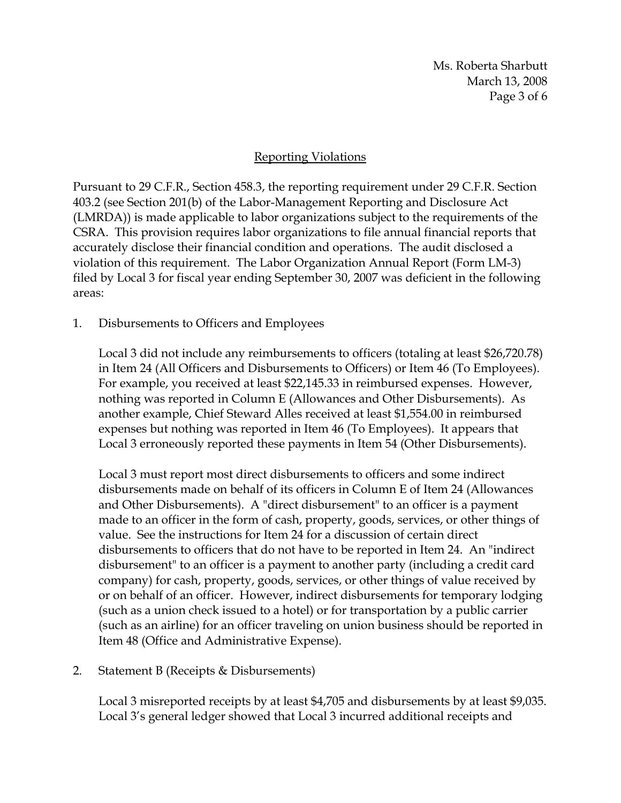Ms. Roberta Sharbutt March 13, 2008 Page 3 of 6

## Reporting Violations

Pursuant to 29 C.F.R., Section 458.3, the reporting requirement under 29 C.F.R. Section 403.2 (see Section 201(b) of the Labor-Management Reporting and Disclosure Act (LMRDA)) is made applicable to labor organizations subject to the requirements of the CSRA. This provision requires labor organizations to file annual financial reports that accurately disclose their financial condition and operations. The audit disclosed a violation of this requirement. The Labor Organization Annual Report (Form LM-3) filed by Local 3 for fiscal year ending September 30, 2007 was deficient in the following areas:

1. Disbursements to Officers and Employees

Local 3 did not include any reimbursements to officers (totaling at least \$26,720.78) in Item 24 (All Officers and Disbursements to Officers) or Item 46 (To Employees). For example, you received at least \$22,145.33 in reimbursed expenses. However, nothing was reported in Column E (Allowances and Other Disbursements). As another example, Chief Steward Alles received at least \$1,554.00 in reimbursed expenses but nothing was reported in Item 46 (To Employees). It appears that Local 3 erroneously reported these payments in Item 54 (Other Disbursements).

Local 3 must report most direct disbursements to officers and some indirect disbursements made on behalf of its officers in Column E of Item 24 (Allowances and Other Disbursements). A "direct disbursement" to an officer is a payment made to an officer in the form of cash, property, goods, services, or other things of value. See the instructions for Item 24 for a discussion of certain direct disbursements to officers that do not have to be reported in Item 24. An "indirect disbursement" to an officer is a payment to another party (including a credit card company) for cash, property, goods, services, or other things of value received by or on behalf of an officer. However, indirect disbursements for temporary lodging (such as a union check issued to a hotel) or for transportation by a public carrier (such as an airline) for an officer traveling on union business should be reported in Item 48 (Office and Administrative Expense).

2. Statement B (Receipts & Disbursements)

Local 3 misreported receipts by at least \$4,705 and disbursements by at least \$9,035. Local 3's general ledger showed that Local 3 incurred additional receipts and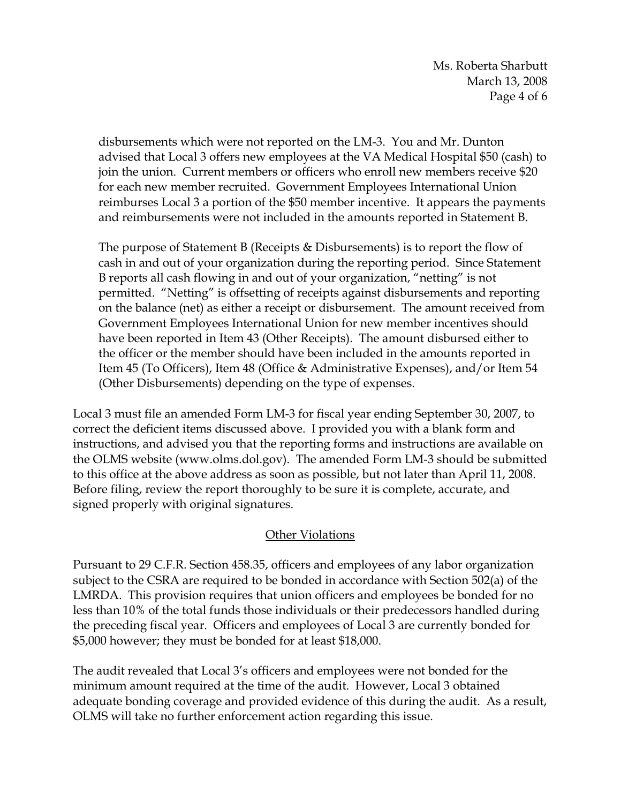Ms. Roberta Sharbutt March 13, 2008 Page 4 of 6

disbursements which were not reported on the LM-3. You and Mr. Dunton advised that Local 3 offers new employees at the VA Medical Hospital \$50 (cash) to join the union. Current members or officers who enroll new members receive \$20 for each new member recruited. Government Employees International Union reimburses Local 3 a portion of the \$50 member incentive. It appears the payments and reimbursements were not included in the amounts reported in Statement B.

The purpose of Statement B (Receipts & Disbursements) is to report the flow of cash in and out of your organization during the reporting period. Since Statement B reports all cash flowing in and out of your organization, "netting" is not permitted. "Netting" is offsetting of receipts against disbursements and reporting on the balance (net) as either a receipt or disbursement. The amount received from Government Employees International Union for new member incentives should have been reported in Item 43 (Other Receipts). The amount disbursed either to the officer or the member should have been included in the amounts reported in Item 45 (To Officers), Item 48 (Office & Administrative Expenses), and/or Item 54 (Other Disbursements) depending on the type of expenses.

Local 3 must file an amended Form LM-3 for fiscal year ending September 30, 2007, to correct the deficient items discussed above. I provided you with a blank form and instructions, and advised you that the reporting forms and instructions are available on the OLMS website (www.olms.dol.gov). The amended Form LM-3 should be submitted to this office at the above address as soon as possible, but not later than April 11, 2008. Before filing, review the report thoroughly to be sure it is complete, accurate, and signed properly with original signatures.

#### **Other Violations**

Pursuant to 29 C.F.R. Section 458.35, officers and employees of any labor organization subject to the CSRA are required to be bonded in accordance with Section 502(a) of the LMRDA. This provision requires that union officers and employees be bonded for no less than 10% of the total funds those individuals or their predecessors handled during the preceding fiscal year. Officers and employees of Local 3 are currently bonded for \$5,000 however; they must be bonded for at least \$18,000.

The audit revealed that Local 3's officers and employees were not bonded for the minimum amount required at the time of the audit. However, Local 3 obtained adequate bonding coverage and provided evidence of this during the audit. As a result, OLMS will take no further enforcement action regarding this issue.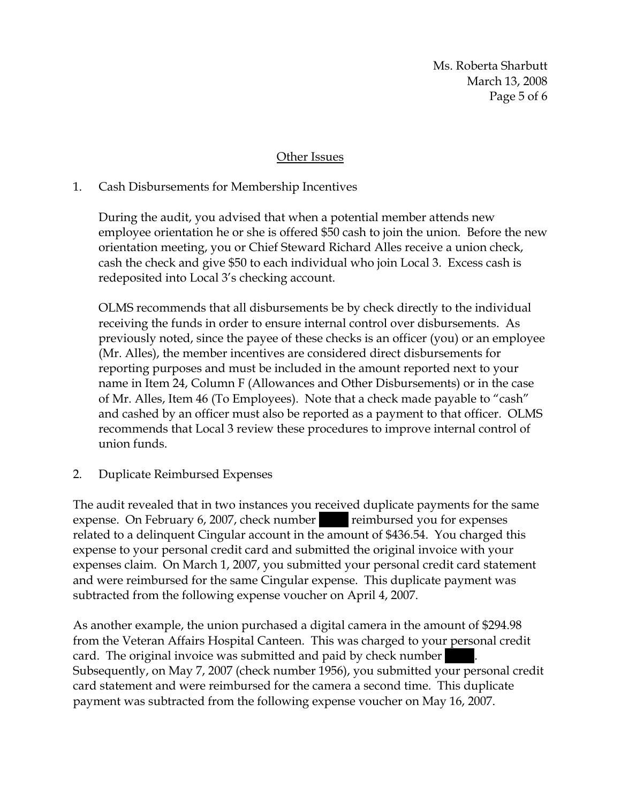Ms. Roberta Sharbutt March 13, 2008 Page 5 of 6

## Other Issues

## 1. Cash Disbursements for Membership Incentives

During the audit, you advised that when a potential member attends new employee orientation he or she is offered \$50 cash to join the union. Before the new orientation meeting, you or Chief Steward Richard Alles receive a union check, cash the check and give \$50 to each individual who join Local 3. Excess cash is redeposited into Local 3's checking account.

OLMS recommends that all disbursements be by check directly to the individual receiving the funds in order to ensure internal control over disbursements. As previously noted, since the payee of these checks is an officer (you) or an employee (Mr. Alles), the member incentives are considered direct disbursements for reporting purposes and must be included in the amount reported next to your name in Item 24, Column F (Allowances and Other Disbursements) or in the case of Mr. Alles, Item 46 (To Employees). Note that a check made payable to "cash" and cashed by an officer must also be reported as a payment to that officer. OLMS recommends that Local 3 review these procedures to improve internal control of union funds.

2. Duplicate Reimbursed Expenses

The audit revealed that in two instances you received duplicate payments for the same expense. On February 6, 2007, check number reimbursed you for expenses related to a delinquent Cingular account in the amount of \$436.54. You charged this expense to your personal credit card and submitted the original invoice with your expenses claim. On March 1, 2007, you submitted your personal credit card statement and were reimbursed for the same Cingular expense. This duplicate payment was subtracted from the following expense voucher on April 4, 2007.

As another example, the union purchased a digital camera in the amount of \$294.98 from the Veteran Affairs Hospital Canteen. This was charged to your personal credit card. The original invoice was submitted and paid by check number Subsequently, on May 7, 2007 (check number 1956), you submitted your personal credit card statement and were reimbursed for the camera a second time. This duplicate payment was subtracted from the following expense voucher on May 16, 2007.